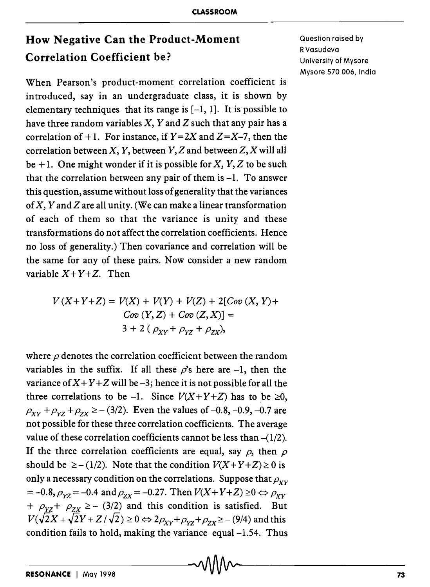## **How Negative Can the Product-Moment Correlation Coefficient be?**

When Pearson's product-moment correlation coefficient is introduced, say in an undergraduate class, it is shown by elementary techniques that its range is  $[-1, 1]$ . It is possible to have three random variables X, *Y* and Z such that any pair has a correlation of  $+1$ . For instance, if  $Y=2X$  and  $Z=X-7$ , then the correlation between X, *Y,* between *Y,* Z and between Z, X will all be  $+1$ . One might wonder if it is possible for X, Y, Z to be such that the correlation between any pair of them is  $-1$ . To answer this question, assume without loss of generality that the variances of X, *Y* and Z are all unity. (We can make a linear transformation of each of them so that the variance is unity and these transformations do not affect the correlation coefficients. Hence no loss of generality.) Then covariance and correlation will be the same for any of these pairs. Now consider a new random variable  $X+Y+Z$ . Then

$$
V(X+Y+Z) = V(X) + V(Y) + V(Z) + 2[Cov(X, Y) + Cov(Y, Z) + Cov(Z, X)] =
$$
  
3 + 2 ( \rho<sub>XY</sub> + \rho<sub>YZ</sub> + \rho<sub>ZX</sub>),

where  $\rho$  denotes the correlation coefficient between the random variables in the suffix. If all these  $\rho$ 's here are  $-1$ , then the variance of  $X+Y+Z$  will be -3; hence it is not possible for all the three correlations to be -1. Since  $V(X+Y+Z)$  has to be  $\geq 0$ ,  $\rho_{XY} + \rho_{YZ} + \rho_{ZX} \ge -(3/2)$ . Even the values of -0.8, -0.9, -0.7 are not possible for these three correlation coefficients. The average value of these correlation coefficients cannot be less than  $-(1/2)$ . If the three correlation coefficients are equal, say  $\rho$ , then  $\rho$ should be  $\geq -(1/2)$ . Note that the condition  $V(X+Y+Z) \geq 0$  is only a necessary condition on the correlations. Suppose that  $\rho_{XY}$  $= -0.8, \rho_{YZ} = -0.4$  and  $\rho_{ZX} = -0.27$ . Then  $V(X+Y+Z) \ge 0 \Leftrightarrow \rho_{XY}$ *+*  $\rho_{yz}$  *+*  $\rho_{zx}$  *≥ - (3/2)* and this condition is satisfied. But  $V(\sqrt{2}X + \sqrt{2}Y + Z/\sqrt{2}) \ge 0 \Leftrightarrow 2\rho_{XY} + \rho_{YZ} + \rho_{ZX} \ge -(9/4)$  and this condition fails to hold, making the variance equal-I.54. Thus

Question raised by RVasudeva University of Mysore Mysore 570 006, India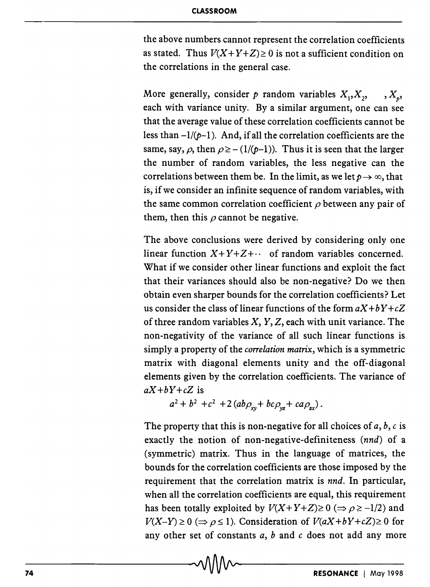the above numbers cannot represent the correlation coefficients as stated. Thus  $V(X+Y+Z) \ge 0$  is not a sufficient condition on the correlations in the general case.

More generally, consider  $p$  random variables  $X_1, X_2, \dots, X_p$ , each with variance unity. By a similar argument, one can see that the average value of these correlation coefficients cannot be less than  $-1/(p-1)$ . And, if all the correlation coefficients are the same, say,  $\rho$ , then  $\rho \ge -(1/(\rho-1))$ . Thus it is seen that the larger the number of random variables, the less negative can the correlations between them be. In the limit, as we let  $p \rightarrow \infty$ , that is, if we consider an infinite sequence of random variables, with the same common correlation coefficient  $\rho$  between any pair of them, then this  $\rho$  cannot be negative.

The above conclusions were derived by considering only one linear function  $X+Y+Z+\cdots$  of random variables concerned. What if we consider other linear functions and exploit the fact that their variances should also be non-negative? Do we then obtain even sharper bounds for the correlation coefficients? Let us consider the class of linear functions of the form  $aX + bY + cZ$ of three random variables X, *Y,* Z, each with unit variance. The non-negativity of the variance of all such linear functions is simply a property of the *correlation matrix,* which is a symmetric matrix with diagonal elements unity and the off-diagonal elements given by the correlation coefficients. The variance of *aX+bY+cZ* is

 $a^2 + b^2 + c^2 + 2 (ab \rho_{xx} + bc \rho_{yz} + ca \rho_{zx}).$ 

The property that this is non-negative for all choices of *a, b,* c is exactly the notion of non-negative-definiteness *(nnd)* of a (symmetric) matrix. Thus in the language of matrices, the bounds for the correlation coefficients are those imposed by the requirement that the correlation matrix is *nnd.* **In** particular, when all the correlation coefficients are equal, this requirement has been totally exploited by  $V(X+Y+Z) \ge 0 \ (\Rightarrow \rho \ge -1/2)$  and  $V(X-Y) \ge 0 \implies \rho \le 1$ ). Consideration of  $V(aX+bY+cZ) \ge 0$  for any other set of constants a, b and c does not add any more